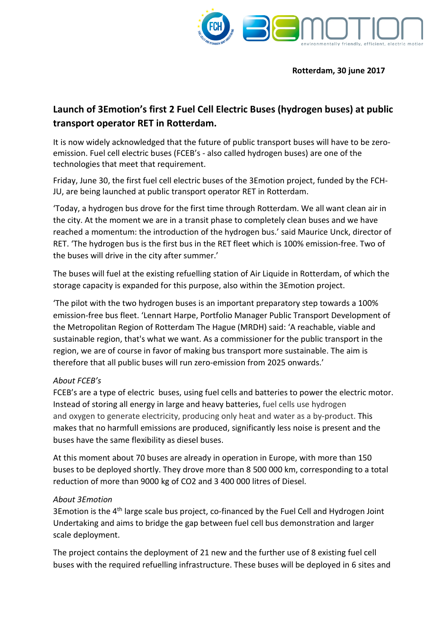

#### **Rotterdam, 30 june 2017**

# **Launch of 3Emotion's first 2 Fuel Cell Electric Buses (hydrogen buses) at public transport operator RET in Rotterdam.**

It is now widely acknowledged that the future of public transport buses will have to be zeroemission. Fuel cell electric buses (FCEB's - also called hydrogen buses) are one of the technologies that meet that requirement.

Friday, June 30, the first fuel cell electric buses of the 3Emotion project, funded by the FCH-JU, are being launched at public transport operator RET in Rotterdam.

'Today, a hydrogen bus drove for the first time through Rotterdam. We all want clean air in the city. At the moment we are in a transit phase to completely clean buses and we have reached a momentum: the introduction of the hydrogen bus.' said Maurice Unck, director of RET. 'The hydrogen bus is the first bus in the RET fleet which is 100% emission-free. Two of the buses will drive in the city after summer.'

The buses will fuel at the existing refuelling station of Air Liquide in Rotterdam, of which the storage capacity is expanded for this purpose, also within the 3Emotion project.

'The pilot with the two hydrogen buses is an important preparatory step towards a 100% emission-free bus fleet. 'Lennart Harpe, Portfolio Manager Public Transport Development of the Metropolitan Region of Rotterdam The Hague (MRDH) said: 'A reachable, viable and sustainable region, that's what we want. As a commissioner for the public transport in the region, we are of course in favor of making bus transport more sustainable. The aim is therefore that all public buses will run zero-emission from 2025 onwards.'

### *About FCEB's*

FCEB's are a type of electric buses, using [fuel cells](http://www.fuelcellbuses.eu/category/fuel-cells) and batteries to power the electric motor. Instead of storing all energy in large and heavy batteries, fuel cells use hydrogen and oxygen to generate electricity, producing only heat and water as a by-product. This makes that no harmfull emissions are produced, significantly less noise is present and the buses have the same flexibility as diesel buses.

At this moment about 70 buses are already in operation in Europe, with more than 150 buses to be deployed shortly. They drove more than 8 500 000 km, corresponding to a total reduction of more than 9000 kg of CO2 and 3 400 000 litres of Diesel.

### *About 3Emotion*

3Emotion is the 4<sup>th</sup> large scale bus project, co-financed by the Fuel Cell and Hydrogen Joint Undertaking and aims to bridge the gap between fuel cell bus demonstration and larger scale deployment.

The project contains the deployment of 21 new and the further use of 8 existing fuel cell buses with the required refuelling infrastructure. These buses will be deployed in 6 sites and